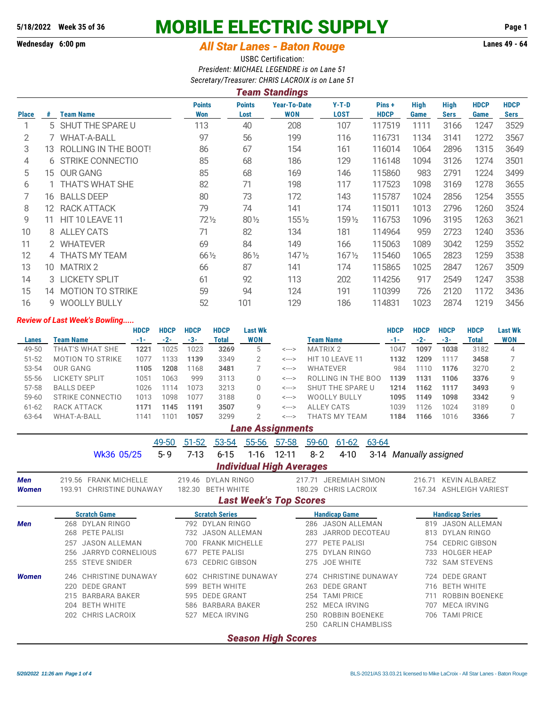# **5/18/2022 Week 35 of 36 MOBILE ELECTRIC SUPPLY Page 1**

## **Wednesday 6:00 pm** *All Star Lanes - Baton Rouge* **Lanes 49 - 64**

USBC Certification: *President: MICHAEL LEGENDRE is on Lane 51 Secretary/Treasurer: CHRIS LACROIX is on Lane 51*

| Team Standings |                         |                                                                                                               |                       |                                   |                        |                      |                     |                            |                     |                            |  |  |  |
|----------------|-------------------------|---------------------------------------------------------------------------------------------------------------|-----------------------|-----------------------------------|------------------------|----------------------|---------------------|----------------------------|---------------------|----------------------------|--|--|--|
| #              | <b>Team Name</b>        | <b>Points</b><br>Won                                                                                          | <b>Points</b><br>Lost | <b>Year-To-Date</b><br><b>WON</b> | $Y-T-D$<br><b>LOST</b> | Pins+<br><b>HDCP</b> | <b>High</b><br>Game | <b>High</b><br><b>Sers</b> | <b>HDCP</b><br>Game | <b>HDCP</b><br><b>Sers</b> |  |  |  |
|                |                         | 113                                                                                                           | 40                    | 208                               | 107                    | 117519               | 1111                | 3166                       | 1247                | 3529                       |  |  |  |
|                | <b>WHAT-A-BALL</b>      | 97                                                                                                            | 56                    | 199                               | 116                    | 116731               | 1134                | 3141                       | 1272                | 3567                       |  |  |  |
| 13.            | ROLLING IN THE BOOT!    | 86                                                                                                            | 67                    | 154                               | 161                    | 116014               | 1064                | 2896                       | 1315                | 3649                       |  |  |  |
|                | <b>STRIKE CONNECTIO</b> | 85                                                                                                            | 68                    | 186                               | 129                    | 116148               | 1094                | 3126                       | 1274                | 3501                       |  |  |  |
| 15.            | <b>OUR GANG</b>         | 85                                                                                                            | 68                    | 169                               | 146                    | 115860               | 983                 | 2791                       | 1224                | 3499                       |  |  |  |
|                |                         | 82                                                                                                            | 71                    | 198                               | 117                    | 117523               | 1098                | 3169                       | 1278                | 3655                       |  |  |  |
| 16             | <b>BALLS DEEP</b>       | 80                                                                                                            | 73                    | 172                               | 143                    | 115787               | 1024                | 2856                       | 1254                | 3555                       |  |  |  |
|                | RACK ATTACK             | 79                                                                                                            | 74                    | 141                               | 174                    | 115011               | 1013                | 2796                       | 1260                | 3524                       |  |  |  |
| 11             | HIT 10 LEAVE 11         | 72½                                                                                                           | 80 1/2                | 1551/2                            | 159 1/2                | 116753               | 1096                | 3195                       | 1263                | 3621                       |  |  |  |
|                | <b>ALLEY CATS</b>       | 71                                                                                                            | 82                    | 134                               | 181                    | 114964               | 959                 | 2723                       | 1240                | 3536                       |  |  |  |
|                |                         | 69                                                                                                            | 84                    | 149                               | 166                    | 115063               | 1089                | 3042                       | 1259                | 3552                       |  |  |  |
|                |                         | $66\frac{1}{2}$                                                                                               | $86\frac{1}{2}$       | $147\frac{1}{2}$                  | $167\frac{1}{2}$       | 115460               | 1065                | 2823                       | 1259                | 3538                       |  |  |  |
| 10             | <b>MATRIX 2</b>         | 66                                                                                                            | 87                    | 141                               | 174                    | 115865               | 1025                | 2847                       | 1267                | 3509                       |  |  |  |
|                |                         | 61                                                                                                            | 92                    | 113                               | 202                    | 114256               | 917                 | 2549                       | 1247                | 3538                       |  |  |  |
|                | <b>MOTION TO STRIKE</b> | 59                                                                                                            | 94                    | 124                               | 191                    | 110399               | 726                 | 2120                       | 1172                | 3436                       |  |  |  |
|                | <b>WOOLLY BULLY</b>     | 52                                                                                                            | 101                   | 129                               | 186                    | 114831               | 1023                | 2874                       | 1219                | 3456                       |  |  |  |
|                |                         | 5 SHUT THE SPARE U<br>1 THAT'S WHAT SHE<br>12.<br>8<br>2 WHATEVER<br>4 THATS MY TEAM<br>3 LICKETY SPLIT<br>14 |                       |                                   |                        |                      |                     |                            |                     |                            |  |  |  |

#### *Review of Last Week's Bowling.....*

|           |                         | <b>HDCP</b> | <b>HDCP</b>  | <b>HDCP</b> | <b>HDCP</b> | Last Wk    |       |                     |       | <b>HDCP</b> | <b>HDCP</b> | <b>HDCP</b> | <b>Last Wk</b> |
|-----------|-------------------------|-------------|--------------|-------------|-------------|------------|-------|---------------------|-------|-------------|-------------|-------------|----------------|
| Lanes     | Team Name               | $-1-$       | $-2-$        | $-3-$       | Total       | <b>WON</b> |       | Team Name           | $-1-$ | $-2-$       | -3-         | Total       | <b>WON</b>     |
| 49-50     | THAT'S WHAT SHE         | 1221        | 1025         | 1023        | 3269        | 5          | <---> | <b>MATRIX 2</b>     | 1047  | 1097        | 1038        | 3182        | 4              |
| $51 - 52$ | <b>MOTION TO STRIKE</b> | 1077        | 133          | 1139        | 3349        |            | <---> | HIT 10 LEAVE 11     | 1132  | 1209        | 1117        | 3458        |                |
| 53-54     | OUR GANG                | 1105        | 1208         | 1168        | 3481        |            | <---> | <b>WHATEVER</b>     | 984   | 1110        | 1176        | 3270        |                |
| 55-56     | LICKETY SPLIT           | 1051        | 1063         | 999         | 3113        |            | <---> | ROLLING IN THE BOO  | 1139  | 1131        | 1106        | 3376        | a              |
| 57-58     | <b>BALLS DEEP</b>       | 1026        | 114          | 1073        | 3213        |            | <---> | SHUT THE SPARE U    | 1214  | 1162        | 1117        | 3493        | Q              |
| $59 - 60$ | STRIKE CONNECTIO        | 1013        | 1098         | 1077        | 3188        |            | <---> | <b>WOOLLY BULLY</b> | 1095  | 1149        | 1098        | 3342        | Q              |
| $61 - 62$ | RACK ATTACK             | 1171        | 1145         | 1191        | 3507        | g          | <---> | ALLEY CATS          | 1039  | 1126        | 1024        | 3189        | O              |
| 63-64     | <b>WHAT-A-BALL</b>      | 1141        | $10^{\circ}$ | 1057        | 3299        |            | <---> | THATS MY TEAM       | 1184  | 1166        | 1016        | 3366        |                |
|           |                         |             |              |             |             |            |       |                     |       |             |             |             |                |

### *Lane Assignments*

49-50 51-52 53-54 55-56 57-58 59-60 61-62 63-64 Wk36 05/25 5-9 7-13 6-15 1-16 12-11 8-2 4-10 3-14 Manually assigned *Individual High Averages Men* 219.56 FRANK MICHELLE 219.46 DYLAN RINGO 217.71 JEREMIAH SIMON 216.71 KEVIN ALBAREZ **Women** 193.91 CHRISTINE DUNAWAY 182.30 BETH WHITE 180.29 CHRIS LACROIX 167.34 ASHLEIGH VARIEST *Last Week's Top Scores* **Scratch Game Scratch Series Handicap Game Handicap Series** *Men* 268 DYLAN RINGO 792 DYLAN RINGO 286 JASON ALLEMAN 819 JASON ALLEMAN 268 PETE PALISI 732 JASON ALLEMAN 283 JARROD DECOTEAU 813 DYLAN RINGO 257 JASON ALLEMAN 700 FRANK MICHELLE 277 PETE PALISI 754 CEDRIC GIBSON 256 JARRYD CORNELIOUS 677 PETE PALISI 275 DYLAN RINGO 733 HOLGER HEAP 255 STEVE SNIDER 673 CEDRIC GIBSON 275 JOE WHITE 732 SAM STEVENS *Women* 246 CHRISTINE DUNAWAY 602 CHRISTINE DUNAWAY 274 CHRISTINE DUNAWAY 724 DEDE GRANT 220 DEDE GRANT 599 BETH WHITE 263 DEDE GRANT 716 BETH WHITE 215 BARBARA BAKER 595 DEDE GRANT 254 TAMI PRICE 711 ROBBIN BOENEKE 204 BETH WHITE 586 BARBARA BAKER 252 MECA IRVING 707 MECA IRVING 202 CHRIS LACROIX 527 MECA IRVING 250 ROBBIN BOENEKE 706 TAMI PRICE 250 CARLIN CHAMBLISS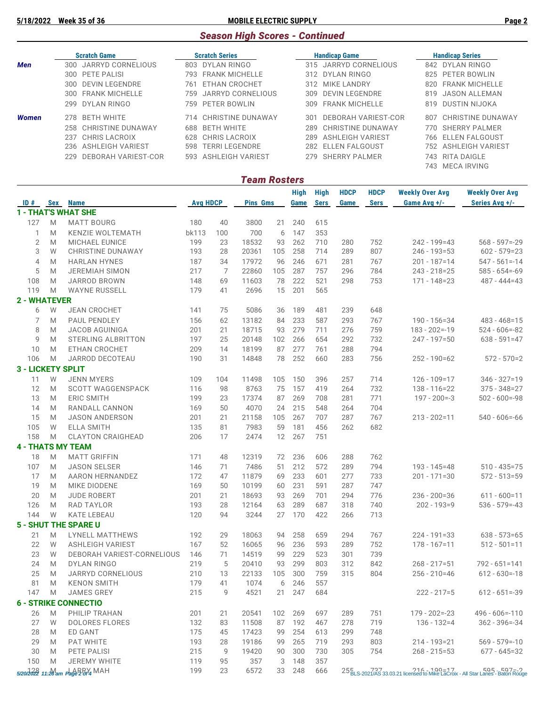**5/18/2022 Week 35 of 36 MOBILE ELECTRIC SUPPLY Page 2**

# *Season High Scores - Continued*

|            | <b>Scratch Game</b>      | <b>Scratch Series</b>        | <b>Handicap Game</b>           | <b>Handicap Series</b>   |
|------------|--------------------------|------------------------------|--------------------------------|--------------------------|
| <b>Men</b> | 300 JARRYD CORNELIOUS    | 803 DYLAN RINGO              | 315 JARRYD CORNELIOUS          | 842 DYLAN RINGO          |
|            | 300 PETE PALISI          | 793 FRANK MICHELLE           | 312 DYLAN RINGO                | 825 PETER BOWLIN         |
|            | 300 DEVIN LEGENDRE       | ETHAN CROCHET<br>761         | 312 MIKE LANDRY                | 820 FRANK MICHELLE       |
|            | 300 FRANK MICHELLE       | JARRYD CORNELIOUS<br>759.    | DEVIN LEGENDRE<br>309          | 819 JASON ALLEMAN        |
|            | 299 DYLAN RINGO          | 759 PETER BOWLIN             | <b>FRANK MICHELLE</b><br>309   | 819 DUSTIN NIJOKA        |
| Women      | <b>BETH WHITE</b><br>278 | 714 CHRISTINE DUNAWAY        | DEBORAH VARIEST-COR<br>301     | CHRISTINE DUNAWAY<br>807 |
|            | 258 CHRISTINE DUNAWAY    | <b>BETH WHITE</b><br>688     | CHRISTINE DUNAWAY<br>289       | 770 SHERRY PALMER        |
|            | 237 CHRIS LACROIX        | 628 CHRIS LACROIX            | <b>ASHLEIGH VARIEST</b><br>289 | 766 ELLEN FALGOUST       |
|            | 236 ASHLEIGH VARIEST     | <b>TERRI LEGENDRE</b><br>598 | 282 ELLEN FALGOUST             | 752 ASHLEIGH VARIEST     |
|            | 229 DEBORAH VARIEST-COR  | 593 ASHLEIGH VARIEST         | 279 SHERRY PALMER              | RITA DAIGLE<br>743.      |
|            |                          |                              |                                | 743 MECA IRVING          |

|                     |                                                                                                            |                                   |                 |     | <b>Team Rosters</b> |     |                     |                     |                     |                            |                                                                                |                                          |
|---------------------|------------------------------------------------------------------------------------------------------------|-----------------------------------|-----------------|-----|---------------------|-----|---------------------|---------------------|---------------------|----------------------------|--------------------------------------------------------------------------------|------------------------------------------|
|                     |                                                                                                            | ID # Sex Name                     | <b>Avg HDCP</b> |     | <b>Pins Gms</b>     |     | <b>High</b><br>Game | High<br><b>Sers</b> | <b>HDCP</b><br>Game | <b>HDCP</b><br><b>Sers</b> | <b>Weekly Over Avg</b><br>Game Avg +/-                                         | <b>Weekly Over Avg</b><br>Series Avg +/- |
|                     |                                                                                                            | <b>1 - THAT'S WHAT SHE</b>        |                 |     |                     |     |                     |                     |                     |                            |                                                                                |                                          |
| 127                 | M                                                                                                          | <b>MATT BOURG</b>                 | 180             | 40  | 3800                | 21  | 240                 | 615                 |                     |                            |                                                                                |                                          |
| 1                   | M                                                                                                          | <b>KENZIE WOLTEMATH</b>           | bk113           | 100 | 700                 | 6   | 147                 | 353                 |                     |                            |                                                                                |                                          |
| $\mathbf{2}$        | M                                                                                                          | MICHAEL EUNICE                    | 199             | 23  | 18532               | 93  | 262                 | 710                 | 280                 | 752                        | 242 - 199=43                                                                   | $568 - 597 = -29$                        |
| 3                   | W                                                                                                          | <b>CHRISTINE DUNAWAY</b>          | 193             | 28  | 20361               | 105 | 258                 | 714                 | 289                 | 807                        | $246 - 193 = 53$                                                               | $602 - 579 = 23$                         |
| $\overline{4}$      | M                                                                                                          | <b>HARLAN HYNES</b>               | 187             | 34  | 17972               | 96  | 246                 | 671                 | 281                 | 767                        | $201 - 187 = 14$                                                               | $547 - 561 = -14$                        |
| 5                   | M                                                                                                          | <b>JEREMIAH SIMON</b>             | 217             | 7   | 22860               | 105 | 287                 | 757                 | 296                 | 784                        | 243 - 218 = 25                                                                 | $585 - 654 = -69$                        |
| 108                 | M                                                                                                          | JARROD BROWN                      | 148             | 69  | 11603               | 78  | 222                 | 521                 | 298                 | 753                        | $171 - 148 = 23$                                                               | $487 - 444 = 43$                         |
| 119                 | M                                                                                                          | <b>WAYNE RUSSELL</b>              | 179             | 41  | 2696                | 15  | 201                 | 565                 |                     |                            |                                                                                |                                          |
| <b>2 - WHATEVER</b> |                                                                                                            |                                   |                 |     |                     |     |                     |                     |                     |                            |                                                                                |                                          |
| 6                   | W                                                                                                          | <b>JEAN CROCHET</b>               | 141             | 75  | 5086                | 36  | 189                 | 481                 | 239                 | 648                        |                                                                                |                                          |
| 7                   | M                                                                                                          | PAUL PENDLEY                      | 156             | 62  | 13182               | 84  | 233                 | 587                 | 293                 | 767                        | $190 - 156 = 34$                                                               | $483 - 468 = 15$                         |
| 8                   | M                                                                                                          | <b>JACOB AGUINIGA</b>             | 201             | 21  | 18715               | 93  | 279                 | 711                 | 276                 | 759                        | $183 - 202 = -19$                                                              | $524 - 606 = -82$                        |
| 9                   | M                                                                                                          | <b>STERLING ALBRITTON</b>         | 197             | 25  | 20148               | 102 | 266                 | 654                 | 292                 | 732                        | 247 - 197=50                                                                   | $638 - 591 = 47$                         |
| 10                  | M                                                                                                          | <b>ETHAN CROCHET</b>              | 209             | 14  | 18199               | 87  | 277                 | 761                 | 288                 | 794                        |                                                                                |                                          |
| 106                 | M                                                                                                          | JARROD DECOTEAU                   | 190             | 31  | 14848               | 78  | 252                 | 660                 | 283                 | 756                        | $252 - 190 = 62$                                                               | $572 - 570 = 2$                          |
|                     |                                                                                                            | <b>3 - LICKETY SPLIT</b>          |                 |     |                     |     |                     |                     |                     |                            |                                                                                |                                          |
| 11                  | W                                                                                                          | <b>JENN MYERS</b>                 | 109             | 104 | 11498               | 105 | 150                 | 396                 | 257                 | 714                        | $126 - 109 = 17$                                                               | $346 - 327 = 19$                         |
| 12                  | M                                                                                                          | <b>SCOTT WAGGENSPACK</b>          | 116             | 98  | 8763                | 75  | 157                 | 419                 | 264                 | 732                        | $138 - 116 = 22$                                                               | $375 - 348 = 27$                         |
| 13                  | M                                                                                                          | <b>ERIC SMITH</b>                 | 199             | 23  | 17374               | 87  | 269                 | 708                 | 281                 | 771                        | $197 - 200 = -3$                                                               | $502 - 600 = -98$                        |
| 14                  | M                                                                                                          | RANDALL CANNON                    | 169             | 50  | 4070                | 24  | 215                 | 548                 | 264                 | 704                        |                                                                                |                                          |
| 15                  | M                                                                                                          | <b>JASON ANDERSON</b>             | 201             | 21  | 21158               | 105 | 267                 | 707                 | 287                 | 767                        | $213 - 202 = 11$                                                               | $540 - 606 = -66$                        |
| 105                 | W                                                                                                          | <b>ELLA SMITH</b>                 | 135             | 81  | 7983                | 59  | 181                 | 456                 | 262                 | 682                        |                                                                                |                                          |
| 158                 | M                                                                                                          | <b>CLAYTON CRAIGHEAD</b>          | 206             | 17  | 2474                | 12  | 267                 | 751                 |                     |                            |                                                                                |                                          |
|                     |                                                                                                            | <b>4 - THATS MY TEAM</b>          |                 |     |                     |     |                     |                     |                     |                            |                                                                                |                                          |
| 18                  | M                                                                                                          | <b>MATT GRIFFIN</b>               | 171             | 48  | 12319               | 72  | 236                 | 606                 | 288                 | 762                        |                                                                                |                                          |
| 107                 | M                                                                                                          | <b>JASON SELSER</b>               | 146             | 71  | 7486                | 51  | 212                 | 572                 | 289                 | 794                        | $193 - 145 = 48$                                                               | $510 - 435 = 75$                         |
| 17                  | M                                                                                                          | <b>AARON HERNANDEZ</b>            | 172             | 47  | 11879               | 69  | 233                 | 601                 | 277                 | 733                        | $201 - 171 = 30$                                                               | $572 - 513 = 59$                         |
| 19                  | M                                                                                                          | MIKE DIODENE                      | 169             | 50  | 10199               | 60  | 231                 | 591                 | 287                 | 747                        |                                                                                |                                          |
| 20                  | M                                                                                                          | <b>JUDE ROBERT</b>                | 201             | 21  | 18693               | 93  | 269                 | 701                 | 294                 | 776                        | $236 - 200 = 36$                                                               | $611 - 600 = 11$                         |
| 126                 | M                                                                                                          | <b>RAD TAYLOR</b>                 | 193             | 28  | 12164               | 63  | 289                 | 687                 | 318                 | 740                        | $202 - 193 = 9$                                                                | $536 - 579 = -43$                        |
| 144                 | W                                                                                                          | <b>KATE LEBEAU</b>                | 120             | 94  | 3244                | 27  | 170                 | 422                 | 266                 | 713                        |                                                                                |                                          |
|                     |                                                                                                            | <b>5 - SHUT THE SPARE U</b>       |                 |     |                     |     |                     |                     |                     |                            |                                                                                |                                          |
| 21                  | M                                                                                                          | <b>LYNELL MATTHEWS</b>            | 192             | 29  | 18063               | 94  | 258                 | 659                 | 294                 | 767                        | $224 - 191 = 33$                                                               | $638 - 573 = 65$                         |
| 22                  | W                                                                                                          | <b>ASHLEIGH VARIEST</b>           | 167             | 52  | 16065               | 96  | 236                 | 593                 | 289                 | 752                        | $178 - 167 = 11$                                                               | $512 - 501 = 11$                         |
| 23                  | W                                                                                                          | DEBORAH VARIEST-CORNELIOUS        | 146             | 71  | 14519               | 99  | 229                 | 523                 | 301                 | 739                        |                                                                                |                                          |
| 24                  | M                                                                                                          | DYLAN RINGO                       | 219             | 5   | 20410               | 93  | 299                 | 803                 | 312                 | 842                        | $268 - 217 = 51$                                                               | $792 - 651 = 141$                        |
| 25                  | $\mathsf{M}% _{T}=\mathsf{M}_{T}\!\left( a,b\right) ,\ \mathsf{M}_{T}=\mathsf{M}_{T}\!\left( a,b\right) ,$ | JARRYD CORNELIOUS                 | 210             | 13  | 22133               | 105 | 300                 | 759                 | 315                 | 804                        | $256 - 210 = 46$                                                               | $612 - 630 = -18$                        |
| 81                  | M                                                                                                          | <b>KENON SMITH</b>                | 179             | 41  | 1074                | 6   | 246                 | 557                 |                     |                            |                                                                                |                                          |
| 147                 | M                                                                                                          | JAMES GREY                        | 215             | 9   | 4521                | 21  | 247                 | 684                 |                     |                            | $222 - 217 = 5$                                                                | $612 - 651 = -39$                        |
|                     |                                                                                                            | <b>6 - STRIKE CONNECTIO</b>       |                 |     |                     |     |                     |                     |                     |                            |                                                                                |                                          |
| 26                  | M                                                                                                          | PHILIP TRAHAN                     | 201             | 21  | 20541               | 102 | 269                 | 697                 | 289                 | 751                        | $179 - 202 = -23$                                                              | $496 - 606 = -110$                       |
| 27                  | W                                                                                                          | <b>DOLORES FLORES</b>             | 132             | 83  | 11508               | 87  | 192                 | 467                 | 278                 | 719                        | $136 - 132 = 4$                                                                | $362 - 396 = -34$                        |
| 28                  | M                                                                                                          | ED GANT                           | 175             | 45  | 17423               | 99  | 254                 | 613                 | 299                 | 748                        |                                                                                |                                          |
| 29                  | M                                                                                                          | PAT WHITE                         | 193             | 28  | 19186               | 99  | 265                 | 719                 | 293                 | 803                        | $214 - 193 = 21$                                                               | $569 - 579 = -10$                        |
| 30                  | M                                                                                                          | PETE PALISI                       | 215             | 9   | 19420               | 90  | 300                 | 730                 | 305                 | 754                        | $268 - 215 = 53$                                                               | $677 - 645 = 32$                         |
| 150                 | M                                                                                                          | JEREMY WHITE                      | 119             | 95  | 357                 | 3   | 148                 | 357                 |                     |                            |                                                                                |                                          |
|                     |                                                                                                            | 5/20/2022 11:20 am Page 2 8/4 MAH | 199             | 23  | 6572                | 33  | 248                 | 666                 |                     |                            | 256LS-2021/AS 33.03.21 licensed to Mike LaCroix - All Star Lanes - Baton Rouge |                                          |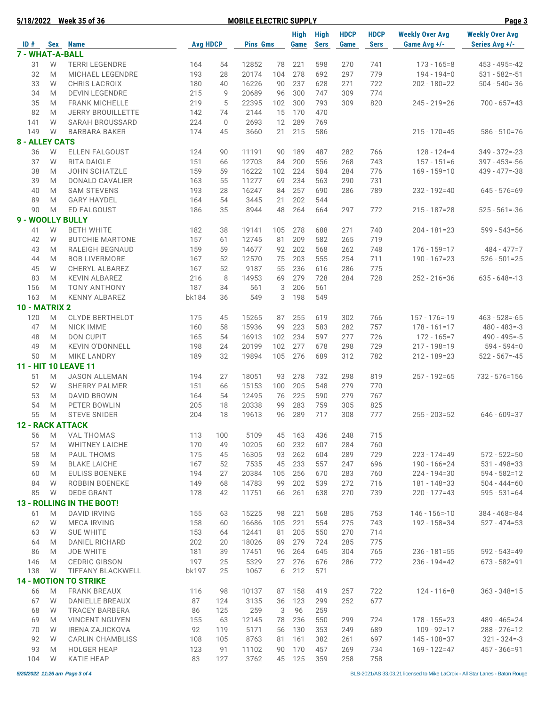| 5/18/2022               |     | <b>Week 35 of 36</b>             |                 | Page 3      |                 |     |           |             |             |             |                        |                        |
|-------------------------|-----|----------------------------------|-----------------|-------------|-----------------|-----|-----------|-------------|-------------|-------------|------------------------|------------------------|
|                         |     |                                  |                 |             |                 |     | High High |             | <b>HDCP</b> | <b>HDCP</b> | <b>Weekly Over Avg</b> | <b>Weekly Over Avg</b> |
| ID#                     | Sex | <b>Name</b>                      | <b>Avg HDCP</b> |             | <b>Pins Gms</b> |     | Game      | <b>Sers</b> | Game        | <b>Sers</b> | Game Avg +/-           | Series Avg +/-         |
| 7 - WHAT-A-BALL         |     |                                  |                 |             |                 |     |           |             |             |             |                        |                        |
| 31                      | W   | <b>TERRI LEGENDRE</b>            | 164             | 54          | 12852           | 78  | 221       | 598         | 270         | 741         | $173 - 165 = 8$        | $453 - 495 = -42$      |
| 32                      | M   | <b>MICHAEL LEGENDRE</b>          | 193             | 28          | 20174           | 104 | 278       | 692         | 297         | 779         | $194 - 194 = 0$        | $531 - 582 = -51$      |
| 33                      | W   | <b>CHRIS LACROIX</b>             | 180             | 40          | 16226           | 90  | 237       | 628         | 271         | 722         | 202 - 180=22           | $504 - 540 = -36$      |
| 34                      | M   | <b>DEVIN LEGENDRE</b>            | 215             | 9           | 20689           | 96  | 300       | 747         | 309         | 774         |                        |                        |
| 35                      | M   | <b>FRANK MICHELLE</b>            | 219             | 5           | 22395           | 102 | 300       | 793         | 309         | 820         | 245 - 219=26           | $700 - 657 = 43$       |
| 82                      | M   | <b>JERRY BROUILLETTE</b>         | 142             | 74          | 2144            | 15  | 170       | 470         |             |             |                        |                        |
| 141                     | W   | <b>SARAH BROUSSARD</b>           | 224             | $\mathbf 0$ | 2693            | 12  | 289       | 769         |             |             |                        |                        |
| 149                     | W   | <b>BARBARA BAKER</b>             | 174             | 45          | 3660            | 21  | 215       | 586         |             |             | $215 - 170 = 45$       | 586 - 510 = 76         |
| <b>8 - ALLEY CATS</b>   |     |                                  |                 |             |                 |     |           |             |             |             |                        |                        |
| 36                      | W   | <b>ELLEN FALGOUST</b>            | 124             | 90          | 11191           | 90  | 189       | 487         | 282         | 766         | $128 - 124 = 4$        | $349 - 372 = -23$      |
| 37                      | W   | RITA DAIGLE                      | 151             | 66          | 12703           | 84  | 200       | 556         | 268         | 743         | $157 - 151 = 6$        | $397 - 453 = -56$      |
| 38                      | M   | <b>JOHN SCHATZLE</b>             | 159             | 59          | 16222           | 102 | 224       | 584         | 284         | 776         | $169 - 159 = 10$       | $439 - 477 = -38$      |
| 39                      | M   | DONALD CAVALIER                  | 163             | 55          | 11277           | 69  | 234       | 563         | 290         | 731         |                        |                        |
| 40                      | M   | <b>SAM STEVENS</b>               | 193             | 28          | 16247           | 84  | 257       | 690         | 286         | 789         | 232 - 192=40           | $645 - 576 = 69$       |
| 89                      | M   | <b>GARY HAYDEL</b>               | 164             | 54          | 3445            | 21  | 202       | 544         |             |             |                        |                        |
| 90                      | M   | ED FALGOUST                      | 186             | 35          | 8944            | 48  | 264       | 664         | 297         | 772         | 215 - 187=28           | $525 - 561 = -36$      |
| 9 - WOOLLY BULLY        |     |                                  |                 |             |                 |     |           |             |             |             |                        |                        |
| 41                      | W   | <b>BETH WHITE</b>                | 182             | 38          | 19141           | 105 | 278       | 688         | 271         | 740         | $204 - 181 = 23$       | $599 - 543 = 56$       |
| 42                      | W   | <b>BUTCHIE MARTONE</b>           | 157             | 61          | 12745           | 81  | 209       | 582         | 265         | 719         |                        |                        |
|                         |     |                                  |                 |             |                 |     |           |             |             |             |                        |                        |
| 43                      | M   | RALEIGH BEGNAUD                  | 159             | 59          | 14677           | 92  | 202       | 568         | 262         | 748         | $176 - 159 = 17$       | $484 - 477 = 7$        |
| 44                      | M   | <b>BOB LIVERMORE</b>             | 167             | 52          | 12570           | 75  | 203       | 555         | 254         | 711         | $190 - 167 = 23$       | $526 - 501 = 25$       |
| 45                      | W   | CHERYL ALBAREZ                   | 167             | 52          | 9187            | 55  | 236       | 616         | 286         | 775         |                        |                        |
| 83                      | M   | <b>KEVIN ALBAREZ</b>             | 216             | 8           | 14953           | 69  | 279       | 728         | 284         | 728         | $252 - 216 = 36$       | $635 - 648 = -13$      |
| 156                     | M   | <b>TONY ANTHONY</b>              | 187             | 34          | 561             | 3   | 206       | 561         |             |             |                        |                        |
| 163                     | M   | <b>KENNY ALBAREZ</b>             | bk184           | 36          | 549             | 3   | 198       | 549         |             |             |                        |                        |
| <b>10 - MATRIX 2</b>    |     |                                  |                 |             |                 |     |           |             |             |             |                        |                        |
| 120                     | M   | <b>CLYDE BERTHELOT</b>           | 175             | 45          | 15265           | 87  | 255       | 619         | 302         | 766         | $157 - 176 = -19$      | $463 - 528 = -65$      |
| 47                      | M   | <b>NICK IMME</b>                 | 160             | 58          | 15936           | 99  | 223       | 583         | 282         | 757         | $178 - 161 = 17$       | $480 - 483 = -3$       |
| 48                      | M   | DON CUPIT                        | 165             | 54          | 16913           | 102 | 234       | 597         | 277         | 726         | $172 - 165 = 7$        | $490 - 495 = -5$       |
| 49                      | M   | <b>KEVIN O'DONNELL</b>           | 198             | 24          | 20199           | 102 | 277       | 678         | 298         | 729         | 217 - 198=19           | $594 - 594 = 0$        |
| 50                      | M   | <b>MIKE LANDRY</b>               | 189             | 32          | 19894           | 105 | 276       | 689         | 312         | 782         | 212 - 189=23           | $522 - 567 = -45$      |
|                         |     | 11 - HIT 10 LEAVE 11             |                 |             |                 |     |           |             |             |             |                        |                        |
| 51                      | M   | <b>JASON ALLEMAN</b>             | 194             | 27          | 18051           | 93  | 278       | 732         | 298         | 819         | $257 - 192 = 65$       | 732 - 576=156          |
| 52                      | W   | <b>SHERRY PALMER</b>             | 151             | 66          | 15153           | 100 | 205       | 548         | 279         | 770         |                        |                        |
| 53                      | M   | DAVID BROWN                      | 164             | 54          | 12495           | 76  | 225       | 590         | 279         | 767         |                        |                        |
| 54                      | M   | PETER BOWLIN                     | 205             | 18          | 20338           | 99  | 283       | 759         | 305         | 825         |                        |                        |
| 55                      | M   | <b>STEVE SNIDER</b>              | 204             | 18          | 19613           | 96  | 289       | 717         | 308         | 777         | $255 - 203 = 52$       | $646 - 609 = 37$       |
| <b>12 - RACK ATTACK</b> |     |                                  |                 |             |                 |     |           |             |             |             |                        |                        |
| 56                      | M   | <b>VAL THOMAS</b>                | 113             | 100         | 5109            | 45  | 163       | 436         | 248         | 715         |                        |                        |
| 57                      | M   | <b>WHITNEY LAICHE</b>            | 170             | 49          | 10205           | 60  | 232       | 607         | 284         | 760         |                        |                        |
| 58                      | M   | PAUL THOMS                       | 175             | 45          | 16305           | 93  | 262       | 604         | 289         | 729         | $223 - 174 = 49$       | $572 - 522 = 50$       |
| 59                      | M   | <b>BLAKE LAICHE</b>              | 167             | 52          | 7535            | 45  | 233       | 557         | 247         | 696         | 190 - 166=24           | $531 - 498 = 33$       |
| 60                      | M   | <b>EULISS BOENEKE</b>            | 194             | 27          | 20384           | 105 | 256       | 670         | 283         | 760         | 224 - 194=30           | $594 - 582 = 12$       |
| 84                      | W   | <b>ROBBIN BOENEKE</b>            | 149             | 68          | 14783           | 99  | 202       | 539         | 272         | 716         | 181 - 148=33           | $504 - 444 = 60$       |
| 85                      | W   | DEDE GRANT                       | 178             | 42          | 11751           | 66  | 261       | 638         | 270         | 739         | $220 - 177 = 43$       | $595 - 531 = 64$       |
|                         |     |                                  |                 |             |                 |     |           |             |             |             |                        |                        |
|                         |     | <b>13 - ROLLING IN THE BOOT!</b> |                 |             |                 |     |           |             |             |             |                        |                        |
| 61                      | M   | <b>DAVID IRVING</b>              | 155             | 63          | 15225           | 98  | 221       | 568         | 285         | 753         | $146 - 156 = -10$      | $384 - 468 = -84$      |
| 62                      | W   | <b>MECA IRVING</b>               | 158             | 60          | 16686           | 105 | 221       | 554         | 275         | 743         | 192 - 158=34           | $527 - 474 = 53$       |
| 63                      | W   | <b>SUE WHITE</b>                 | 153             | 64          | 12441           | 81  | 205       | 550         | 270         | 714         |                        |                        |
| 64                      | M   | <b>DANIEL RICHARD</b>            | 202             | 20          | 18026           | 89  | 279       | 724         | 285         | 775         |                        |                        |
| 86                      | M   | <b>JOE WHITE</b>                 | 181             | 39          | 17451           | 96  | 264       | 645         | 304         | 765         | $236 - 181 = 55$       | $592 - 543 = 49$       |
| 146                     | M   | <b>CEDRIC GIBSON</b>             | 197             | 25          | 5329            | 27  | 276       | 676         | 286         | 772         | $236 - 194 = 42$       | $673 - 582 = 91$       |
| 138                     | W   | <b>TIFFANY BLACKWELL</b>         | bk197           | 25          | 1067            | 6   | 212       | 571         |             |             |                        |                        |
|                         |     | <b>14 - MOTION TO STRIKE</b>     |                 |             |                 |     |           |             |             |             |                        |                        |
| 66                      | M   | <b>FRANK BREAUX</b>              | 116             | 98          | 10137           | 87  | 158       | 419         | 257         | 722         | $124 - 116 = 8$        | $363 - 348 = 15$       |
| 67                      | W   | DANIELLE BREAUX                  | 87              | 124         | 3135            | 36  | 123       | 299         | 252         | 677         |                        |                        |
| 68                      | W   | <b>TRACEY BARBERA</b>            | 86              | 125         | 259             | 3   | 96        | 259         |             |             |                        |                        |
| 69                      | M   | <b>VINCENT NGUYEN</b>            | 155             | 63          | 12145           | 78  | 236       | 550         | 299         | 724         | $178 - 155 = 23$       | 489 - 465 = 24         |
| 70                      | W   | <b>IRENA ZAJICKOVA</b>           | 92              | 119         | 5171            | 56  | 130       | 353         | 249         | 689         | $109 - 92 = 17$        | $288 - 276 = 12$       |
| 92                      | W   | <b>CARLIN CHAMBLISS</b>          | 108             | 105         | 8763            | 81  | 161       | 382         | 261         | 697         | 145 - 108=37           | $321 - 324 = -3$       |
| 93                      | M   | <b>HOLGER HEAP</b>               | 123             | 91          | 11102           | 90  | 170       | 457         | 269         | 734         | $169 - 122 = 47$       | $457 - 366 = 91$       |
| 104                     | W   | <b>KATIE HEAP</b>                | 83              | 127         | 3762            |     | 45 125    | 359         | 258         | 758         |                        |                        |